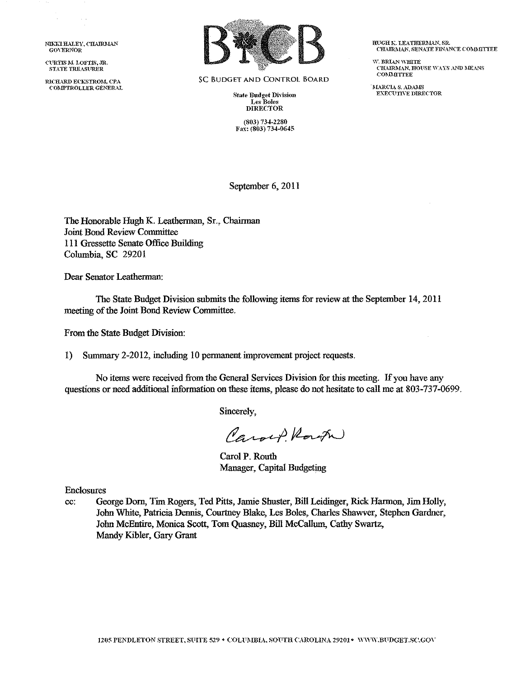NIKKI HALEY, CHAIRMAN GOVERNOR

CURTIS M. LOFTIS, JR. STATE TREASURER

 $\bar{z}$ 

RICHARD ECKSTROM, CPA COMPTROLLER GENERAL



SC BUDGET AND CONTROL BOARD

**State Budget Division** Les Boles DIRECTOR

(803) 734-2280 Fax: (803) 734-0645 **IIUGH K. LEATHERMAN, SR.** CHAIRMAN, SENATE FINANCE COMMITTEE

W. BRIAN WHITE C'HAIRMAN, HOUSE WAYS AND MEANS<br>COMMITTEE

'1\L\RCL\ *S.* ..\DAJ\L<:i EXECUTIVE DIRECTOR

September 6, 2011

The Honorable Hugh K. Leatherman, Sr., Chairman Joint Bond Review Connnittee 111 Gressette Senate Office Building Columbia, SC 29201

Dear Senator Leatherman:

The State Budget Division submits the following items for review at the September 14, 2011 meeting of the Joint Bond Review Connnittee.

From the State Budget Division:

1) Summary 2-2012, including 10 permanent improvement project requests.

No items were received from the General Services Division for this meeting. If you have any questions or need additional information on these items, please do not hesitate to call me at 803-737-0699.

Sincerely,

Caroep Route

Carol P. Routh Manager, Capital Budgeting

Enclosures

cc: George Dorn, Tini Rogers, Ted Pitts, Jamie Shuster, Bill Leidinger, Rick Harmon, Jini Holly, Jobu White, Patricia Dennis, Courtney Blake, Les Boles, Charles Shawver, Stephen Gardner, Jobu McEntire, Monica Scott, Tom Quasney, Bill McCallum, Cathy Swartz, Mandy Kibler, Gary Grant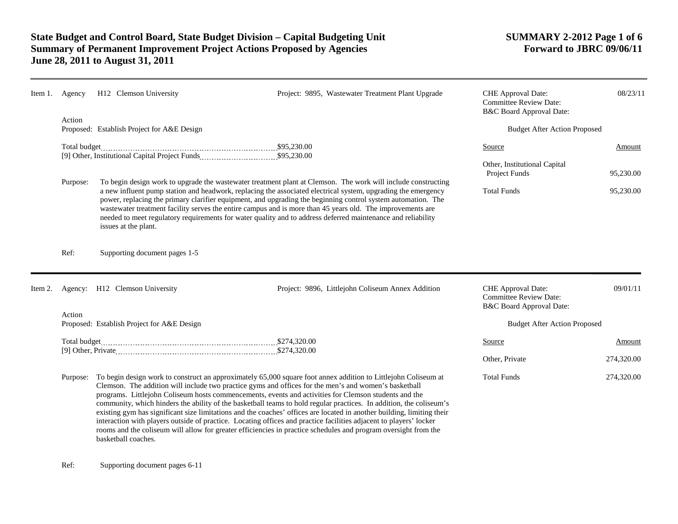| Item 1. | Agency                                                                                                                                                                                                                                                                                                                                                                                                                                                                                                                                                                                                                                                                                                                                                                                                                                                        | H12 Clemson University                                                                                                                                                                                                                                                                                                                                                                                                                                                                                                                                                                               | Project: 9895, Wastewater Treatment Plant Upgrade | CHE Approval Date:<br><b>Committee Review Date:</b><br>B&C Board Approval Date: | 08/23/11             |
|---------|---------------------------------------------------------------------------------------------------------------------------------------------------------------------------------------------------------------------------------------------------------------------------------------------------------------------------------------------------------------------------------------------------------------------------------------------------------------------------------------------------------------------------------------------------------------------------------------------------------------------------------------------------------------------------------------------------------------------------------------------------------------------------------------------------------------------------------------------------------------|------------------------------------------------------------------------------------------------------------------------------------------------------------------------------------------------------------------------------------------------------------------------------------------------------------------------------------------------------------------------------------------------------------------------------------------------------------------------------------------------------------------------------------------------------------------------------------------------------|---------------------------------------------------|---------------------------------------------------------------------------------|----------------------|
|         | Action<br>Proposed: Establish Project for A&E Design                                                                                                                                                                                                                                                                                                                                                                                                                                                                                                                                                                                                                                                                                                                                                                                                          |                                                                                                                                                                                                                                                                                                                                                                                                                                                                                                                                                                                                      |                                                   | <b>Budget After Action Proposed</b>                                             |                      |
|         | Total budget                                                                                                                                                                                                                                                                                                                                                                                                                                                                                                                                                                                                                                                                                                                                                                                                                                                  |                                                                                                                                                                                                                                                                                                                                                                                                                                                                                                                                                                                                      |                                                   | Source<br>Other, Institutional Capital                                          | Amount               |
|         | Purpose:                                                                                                                                                                                                                                                                                                                                                                                                                                                                                                                                                                                                                                                                                                                                                                                                                                                      | To begin design work to upgrade the wastewater treatment plant at Clemson. The work will include constructing<br>a new influent pump station and headwork, replacing the associated electrical system, upgrading the emergency<br>power, replacing the primary clarifier equipment, and upgrading the beginning control system automation. The<br>wastewater treatment facility serves the entire campus and is more than 45 years old. The improvements are<br>needed to meet regulatory requirements for water quality and to address deferred maintenance and reliability<br>issues at the plant. | Project Funds<br><b>Total Funds</b>               | 95,230.00<br>95,230.00                                                          |                      |
|         | Ref:                                                                                                                                                                                                                                                                                                                                                                                                                                                                                                                                                                                                                                                                                                                                                                                                                                                          | Supporting document pages 1-5                                                                                                                                                                                                                                                                                                                                                                                                                                                                                                                                                                        |                                                   |                                                                                 |                      |
| Item 2. |                                                                                                                                                                                                                                                                                                                                                                                                                                                                                                                                                                                                                                                                                                                                                                                                                                                               | Agency: H12 Clemson University                                                                                                                                                                                                                                                                                                                                                                                                                                                                                                                                                                       | Project: 9896, Littlejohn Coliseum Annex Addition | CHE Approval Date:<br><b>Committee Review Date:</b><br>B&C Board Approval Date: | 09/01/11             |
|         | Action<br>Proposed: Establish Project for A&E Design                                                                                                                                                                                                                                                                                                                                                                                                                                                                                                                                                                                                                                                                                                                                                                                                          |                                                                                                                                                                                                                                                                                                                                                                                                                                                                                                                                                                                                      |                                                   | <b>Budget After Action Proposed</b>                                             |                      |
|         | Total budget                                                                                                                                                                                                                                                                                                                                                                                                                                                                                                                                                                                                                                                                                                                                                                                                                                                  |                                                                                                                                                                                                                                                                                                                                                                                                                                                                                                                                                                                                      |                                                   | Source<br>Other, Private                                                        | Amount<br>274,320.00 |
|         | To begin design work to construct an approximately 65,000 square foot annex addition to Littlejohn Coliseum at<br>Purpose:<br>Clemson. The addition will include two practice gyms and offices for the men's and women's basketball<br>programs. Littlejohn Coliseum hosts commencements, events and activities for Clemson students and the<br>community, which hinders the ability of the basketball teams to hold regular practices. In addition, the coliseum's<br>existing gym has significant size limitations and the coaches' offices are located in another building, limiting their<br>interaction with players outside of practice. Locating offices and practice facilities adjacent to players' locker<br>rooms and the coliseum will allow for greater efficiencies in practice schedules and program oversight from the<br>basketball coaches. |                                                                                                                                                                                                                                                                                                                                                                                                                                                                                                                                                                                                      |                                                   | <b>Total Funds</b>                                                              | 274,320.00           |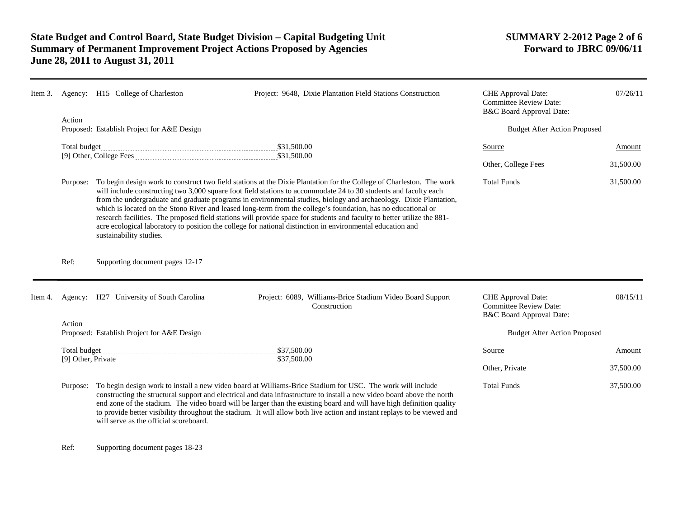| Item 3. |          | Agency: H15 College of Charleston                                                                                                                                                                                                                                                                                                                                                                                                                                                                                                                                                                                                                                                                                                                  | Project: 9648, Dixie Plantation Field Stations Construction                                                                                                                                                                                                                                                                                                                                                                                                                                | <b>CHE</b> Approval Date:<br><b>Committee Review Date:</b><br>B&C Board Approval Date: | 07/26/11  |
|---------|----------|----------------------------------------------------------------------------------------------------------------------------------------------------------------------------------------------------------------------------------------------------------------------------------------------------------------------------------------------------------------------------------------------------------------------------------------------------------------------------------------------------------------------------------------------------------------------------------------------------------------------------------------------------------------------------------------------------------------------------------------------------|--------------------------------------------------------------------------------------------------------------------------------------------------------------------------------------------------------------------------------------------------------------------------------------------------------------------------------------------------------------------------------------------------------------------------------------------------------------------------------------------|----------------------------------------------------------------------------------------|-----------|
|         | Action   | Proposed: Establish Project for A&E Design                                                                                                                                                                                                                                                                                                                                                                                                                                                                                                                                                                                                                                                                                                         |                                                                                                                                                                                                                                                                                                                                                                                                                                                                                            | <b>Budget After Action Proposed</b>                                                    |           |
|         |          |                                                                                                                                                                                                                                                                                                                                                                                                                                                                                                                                                                                                                                                                                                                                                    |                                                                                                                                                                                                                                                                                                                                                                                                                                                                                            | Source                                                                                 | Amount    |
|         |          |                                                                                                                                                                                                                                                                                                                                                                                                                                                                                                                                                                                                                                                                                                                                                    |                                                                                                                                                                                                                                                                                                                                                                                                                                                                                            | Other, College Fees                                                                    | 31,500.00 |
|         | Purpose: | To begin design work to construct two field stations at the Dixie Plantation for the College of Charleston. The work<br>will include constructing two 3,000 square foot field stations to accommodate 24 to 30 students and faculty each<br>from the undergraduate and graduate programs in environmental studies, biology and archaeology. Dixie Plantation,<br>which is located on the Stono River and leased long-term from the college's foundation, has no educational or<br>research facilities. The proposed field stations will provide space for students and faculty to better utilize the 881-<br>acre ecological laboratory to position the college for national distinction in environmental education and<br>sustainability studies. |                                                                                                                                                                                                                                                                                                                                                                                                                                                                                            | <b>Total Funds</b>                                                                     | 31,500.00 |
|         | Ref:     | Supporting document pages 12-17                                                                                                                                                                                                                                                                                                                                                                                                                                                                                                                                                                                                                                                                                                                    |                                                                                                                                                                                                                                                                                                                                                                                                                                                                                            |                                                                                        |           |
| Item 4. |          | Agency: H27 University of South Carolina                                                                                                                                                                                                                                                                                                                                                                                                                                                                                                                                                                                                                                                                                                           | Project: 6089, Williams-Brice Stadium Video Board Support<br>Construction                                                                                                                                                                                                                                                                                                                                                                                                                  | <b>CHE</b> Approval Date:<br><b>Committee Review Date:</b><br>B&C Board Approval Date: | 08/15/11  |
|         | Action   | Proposed: Establish Project for A&E Design                                                                                                                                                                                                                                                                                                                                                                                                                                                                                                                                                                                                                                                                                                         |                                                                                                                                                                                                                                                                                                                                                                                                                                                                                            | <b>Budget After Action Proposed</b>                                                    |           |
|         |          |                                                                                                                                                                                                                                                                                                                                                                                                                                                                                                                                                                                                                                                                                                                                                    |                                                                                                                                                                                                                                                                                                                                                                                                                                                                                            | Source                                                                                 | Amount    |
|         |          |                                                                                                                                                                                                                                                                                                                                                                                                                                                                                                                                                                                                                                                                                                                                                    |                                                                                                                                                                                                                                                                                                                                                                                                                                                                                            | Other, Private                                                                         | 37,500.00 |
|         | Purpose: |                                                                                                                                                                                                                                                                                                                                                                                                                                                                                                                                                                                                                                                                                                                                                    | To begin design work to install a new video board at Williams-Brice Stadium for USC. The work will include<br>constructing the structural support and electrical and data infrastructure to install a new video board above the north<br>end zone of the stadium. The video board will be larger than the existing board and will have high definition quality<br>to provide better visibility throughout the stadium. It will allow both live action and instant replays to be viewed and | <b>Total Funds</b>                                                                     | 37,500.00 |

Ref: Supporting document pages 18-23

will serve as the official scoreboard.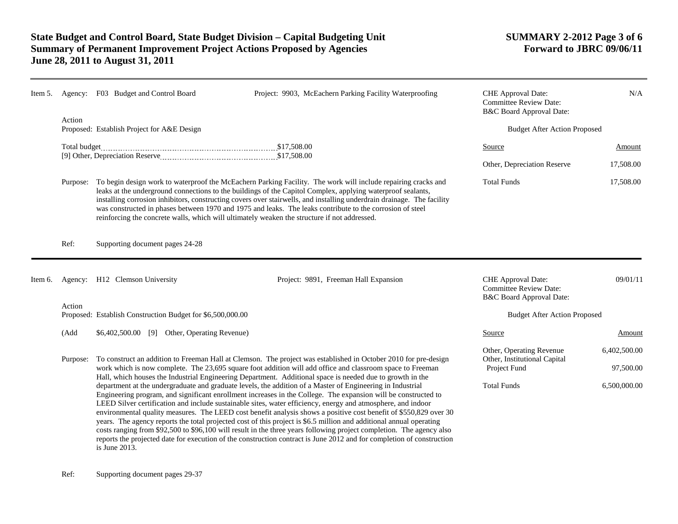reinforcing the concrete walls, which will ultimately weaken the structure if not addressed.

| Item 5. | Agency: | F03 Budget and Control Board               | Project: 9903, McEachern Parking Facility Waterproofing                                                                                                                                                                                                                                                                                                                                                                                                                      | <b>CHE</b> Approval Date:<br><b>Committee Review Date:</b><br><b>B&amp;C Board Approval Date:</b> | N/A       |
|---------|---------|--------------------------------------------|------------------------------------------------------------------------------------------------------------------------------------------------------------------------------------------------------------------------------------------------------------------------------------------------------------------------------------------------------------------------------------------------------------------------------------------------------------------------------|---------------------------------------------------------------------------------------------------|-----------|
|         | Action  | Proposed: Establish Project for A&E Design |                                                                                                                                                                                                                                                                                                                                                                                                                                                                              | <b>Budget After Action Proposed</b>                                                               |           |
|         |         |                                            |                                                                                                                                                                                                                                                                                                                                                                                                                                                                              |                                                                                                   |           |
|         |         |                                            | \$17,508.00                                                                                                                                                                                                                                                                                                                                                                                                                                                                  | Source                                                                                            | Amount    |
|         |         |                                            | \$17,508.00                                                                                                                                                                                                                                                                                                                                                                                                                                                                  |                                                                                                   |           |
|         |         |                                            |                                                                                                                                                                                                                                                                                                                                                                                                                                                                              | Other, Depreciation Reserve                                                                       | 17,508.00 |
|         |         |                                            | Purpose: To begin design work to waterproof the McEachern Parking Facility. The work will include repairing cracks and<br>leaks at the underground connections to the buildings of the Capitol Complex, applying waterproof sealants,<br>installing corrosion inhibitors, constructing covers over stairwells, and installing underdrain drainage. The facility<br>was constructed in phases between 1970 and 1975 and leaks. The leaks contribute to the corrosion of steel | <b>Total Funds</b>                                                                                | 17,508.00 |

Ref: Supporting document pages 24-28

| Item 6. | Agency:  | H <sub>12</sub> Clemson University                                                                                                                                                                                                                                                                                                                                                                                                                                                                                                                                               | Project: 9891, Freeman Hall Expansion                                                                             | <b>CHE</b> Approval Date:<br><b>Committee Review Date:</b><br>B&C Board Approval Date: | 09/01/11                  |
|---------|----------|----------------------------------------------------------------------------------------------------------------------------------------------------------------------------------------------------------------------------------------------------------------------------------------------------------------------------------------------------------------------------------------------------------------------------------------------------------------------------------------------------------------------------------------------------------------------------------|-------------------------------------------------------------------------------------------------------------------|----------------------------------------------------------------------------------------|---------------------------|
|         | Action   | Proposed: Establish Construction Budget for \$6,500,000.00                                                                                                                                                                                                                                                                                                                                                                                                                                                                                                                       |                                                                                                                   | <b>Budget After Action Proposed</b>                                                    |                           |
|         | (Add     | \$6,402,500.00<br>Other, Operating Revenue)<br>[9]                                                                                                                                                                                                                                                                                                                                                                                                                                                                                                                               |                                                                                                                   | Source                                                                                 | Amount                    |
|         | Purpose: | To construct an addition to Freeman Hall at Clemson. The project was established in October 2010 for pre-design<br>work which is now complete. The 23,695 square foot addition will add office and classroom space to Freeman                                                                                                                                                                                                                                                                                                                                                    |                                                                                                                   | Other, Operating Revenue<br>Other, Institutional Capital<br>Project Fund               | 6,402,500.00<br>97,500.00 |
|         |          | Hall, which houses the Industrial Engineering Department. Additional space is needed due to growth in the<br>department at the undergraduate and graduate levels, the addition of a Master of Engineering in Industrial<br>Engineering program, and significant enrollment increases in the College. The expansion will be constructed to<br>LEED Silver certification and include sustainable sites, water efficiency, energy and atmosphere, and indoor<br>years. The agency reports the total projected cost of this project is \$6.5 million and additional annual operating | environmental quality measures. The LEED cost benefit analysis shows a positive cost benefit of \$550,829 over 30 | <b>Total Funds</b>                                                                     | 6,500,000.00              |

costs ranging from \$92,500 to \$96,100 will result in the three years following project completion. The agency also reports the projected date for execution of the construction contract is June 2012 and for completion of construction is June 2013.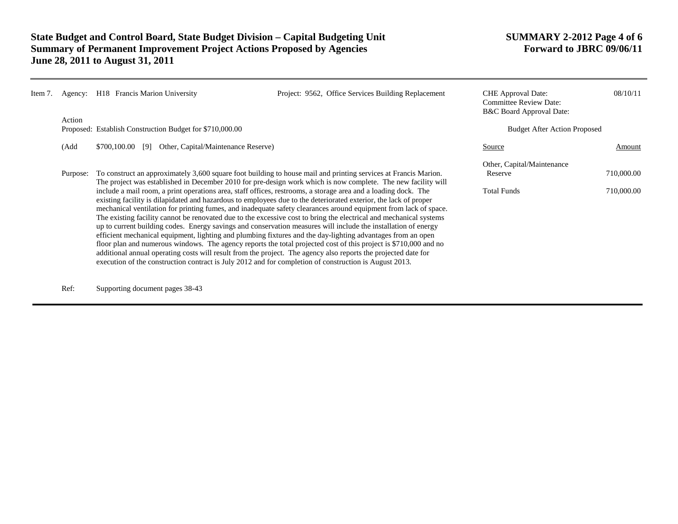| Item 7. | Agency:  | H <sub>18</sub> Francis Marion University                  | Project: 9562, Office Services Building Replacement                                                                                                                                                                                                                                                                                                                                                                                                                                                                                                                                                                                                                                                                                                                                                                            | <b>CHE</b> Approval Date:<br><b>Committee Review Date:</b><br>B&C Board Approval Date: | 08/10/11   |
|---------|----------|------------------------------------------------------------|--------------------------------------------------------------------------------------------------------------------------------------------------------------------------------------------------------------------------------------------------------------------------------------------------------------------------------------------------------------------------------------------------------------------------------------------------------------------------------------------------------------------------------------------------------------------------------------------------------------------------------------------------------------------------------------------------------------------------------------------------------------------------------------------------------------------------------|----------------------------------------------------------------------------------------|------------|
|         | Action   | Proposed: Establish Construction Budget for \$710,000.00   |                                                                                                                                                                                                                                                                                                                                                                                                                                                                                                                                                                                                                                                                                                                                                                                                                                | <b>Budget After Action Proposed</b>                                                    |            |
|         | (Add     | Other, Capital/Maintenance Reserve)<br>\$700,100.00<br>[9] |                                                                                                                                                                                                                                                                                                                                                                                                                                                                                                                                                                                                                                                                                                                                                                                                                                | Source                                                                                 | Amount     |
|         | Purpose: |                                                            | To construct an approximately 3,600 square foot building to house mail and printing services at Francis Marion.                                                                                                                                                                                                                                                                                                                                                                                                                                                                                                                                                                                                                                                                                                                | Other, Capital/Maintenance<br>Reserve                                                  | 710,000.00 |
|         |          |                                                            | The project was established in December 2010 for pre-design work which is now complete. The new facility will<br>include a mail room, a print operations area, staff offices, restrooms, a storage area and a loading dock. The<br>existing facility is dilapidated and hazardous to employees due to the deteriorated exterior, the lack of proper<br>mechanical ventilation for printing fumes, and inadequate safety clearances around equipment from lack of space.<br>The existing facility cannot be renovated due to the excessive cost to bring the electrical and mechanical systems<br>up to current building codes. Energy savings and conservation measures will include the installation of energy<br>efficient mechanical equipment, lighting and plumbing fixtures and the day-lighting advantages from an open | <b>Total Funds</b>                                                                     | 710,000.00 |
|         |          |                                                            | floor plan and numerous windows. The agency reports the total projected cost of this project is \$710,000 and no<br>additional annual operating costs will result from the project. The agency also reports the projected date for<br>execution of the construction contract is July 2012 and for completion of construction is August 2013.                                                                                                                                                                                                                                                                                                                                                                                                                                                                                   |                                                                                        |            |

Ref: Supporting document pages 38-43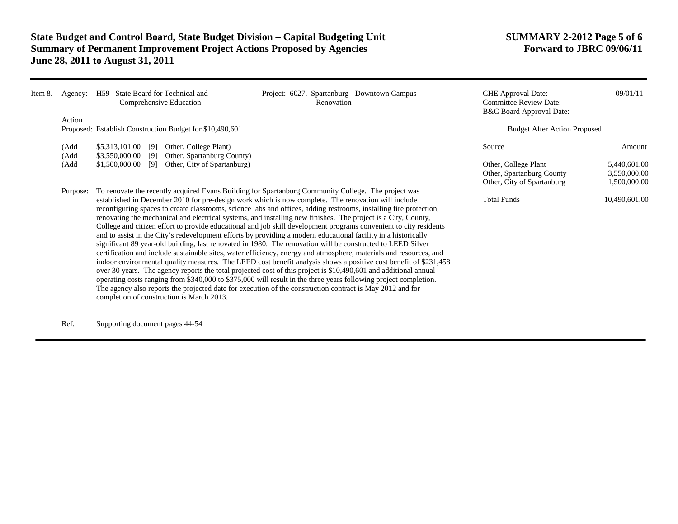| Item 8. | Agency:      |                                                                                                                                                                                                                                                                                                                                                                                                                                                                                                                                                                                                                                                                                                                                                                                                                                                                                                                                                                                                                                                                                                                                                                                                                                                                                                                                                                                                                                                     | H59 State Board for Technical and<br>Comprehensive Education | Project: 6027, Spartanburg - Downtown Campus<br>Renovation | <b>CHE</b> Approval Date:<br><b>Committee Review Date:</b><br>B&C Board Approval Date: | 09/01/11                                     |
|---------|--------------|-----------------------------------------------------------------------------------------------------------------------------------------------------------------------------------------------------------------------------------------------------------------------------------------------------------------------------------------------------------------------------------------------------------------------------------------------------------------------------------------------------------------------------------------------------------------------------------------------------------------------------------------------------------------------------------------------------------------------------------------------------------------------------------------------------------------------------------------------------------------------------------------------------------------------------------------------------------------------------------------------------------------------------------------------------------------------------------------------------------------------------------------------------------------------------------------------------------------------------------------------------------------------------------------------------------------------------------------------------------------------------------------------------------------------------------------------------|--------------------------------------------------------------|------------------------------------------------------------|----------------------------------------------------------------------------------------|----------------------------------------------|
|         | Action       |                                                                                                                                                                                                                                                                                                                                                                                                                                                                                                                                                                                                                                                                                                                                                                                                                                                                                                                                                                                                                                                                                                                                                                                                                                                                                                                                                                                                                                                     | Proposed: Establish Construction Budget for \$10,490,601     |                                                            | <b>Budget After Action Proposed</b>                                                    |                                              |
|         | (Add<br>(Add | \$5,313,101.00 [9]<br>$$3,550,000.00$ [9]                                                                                                                                                                                                                                                                                                                                                                                                                                                                                                                                                                                                                                                                                                                                                                                                                                                                                                                                                                                                                                                                                                                                                                                                                                                                                                                                                                                                           | Other, College Plant)<br>Other, Spartanburg County)          |                                                            | Source                                                                                 | Amount                                       |
|         | (Add         | $$1,500,000.00$ [9]                                                                                                                                                                                                                                                                                                                                                                                                                                                                                                                                                                                                                                                                                                                                                                                                                                                                                                                                                                                                                                                                                                                                                                                                                                                                                                                                                                                                                                 | Other, City of Spartanburg)                                  |                                                            | Other, College Plant<br>Other, Spartanburg County<br>Other, City of Spartanburg        | 5,440,601.00<br>3,550,000.00<br>1,500,000.00 |
|         | Purpose:     | To renovate the recently acquired Evans Building for Spartanburg Community College. The project was<br>established in December 2010 for pre-design work which is now complete. The renovation will include<br>reconfiguring spaces to create classrooms, science labs and offices, adding restrooms, installing fire protection,<br>renovating the mechanical and electrical systems, and installing new finishes. The project is a City, County,<br>College and citizen effort to provide educational and job skill development programs convenient to city residents<br>and to assist in the City's redevelopment efforts by providing a modern educational facility in a historically<br>significant 89 year-old building, last renovated in 1980. The renovation will be constructed to LEED Silver<br>certification and include sustainable sites, water efficiency, energy and atmosphere, materials and resources, and<br>indoor environmental quality measures. The LEED cost benefit analysis shows a positive cost benefit of \$231,458<br>over 30 years. The agency reports the total projected cost of this project is \$10,490,601 and additional annual<br>operating costs ranging from \$340,000 to \$375,000 will result in the three years following project completion.<br>The agency also reports the projected date for execution of the construction contract is May 2012 and for<br>completion of construction is March 2013. |                                                              | <b>Total Funds</b>                                         | 10,490,601.00                                                                          |                                              |

Ref: Supporting document pages 44-54